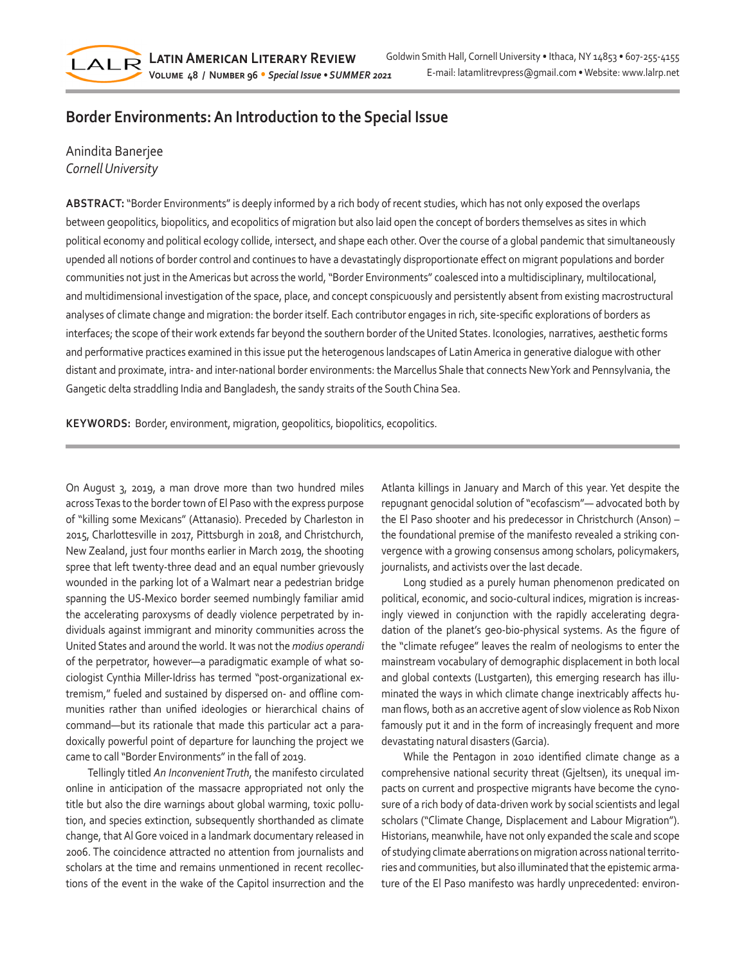## **Border Environments: An Introduction to the Special Issue**

## Anindita Banerjee *Cornell University*

 $LAIR$ 

**ABSTRACT:** "Border Environments" is deeply informed by a rich body of recent studies, which has not only exposed the overlaps between geopolitics, biopolitics, and ecopolitics of migration but also laid open the concept of borders themselves as sites in which political economy and political ecology collide, intersect, and shape each other. Over the course of a global pandemic that simultaneously upended all notions of border control and continues to have a devastatingly disproportionate effect on migrant populations and border communities not just in the Americas but across the world, "Border Environments" coalesced into a multidisciplinary, multilocational, and multidimensional investigation of the space, place, and concept conspicuously and persistently absent from existing macrostructural analyses of climate change and migration: the border itself. Each contributor engages in rich, site-specific explorations of borders as interfaces; the scope of their work extends far beyond the southern border of the United States. Iconologies, narratives, aesthetic forms and performative practices examined in this issue put the heterogenous landscapes of Latin America in generative dialogue with other distant and proximate, intra- and inter-national border environments: the Marcellus Shale that connects New York and Pennsylvania, the Gangetic delta straddling India and Bangladesh, the sandy straits of the South China Sea.

**KEYWORDS:** Border, environment, migration, geopolitics, biopolitics, ecopolitics.

On August 3, 2019, a man drove more than two hundred miles across Texas to the border town of El Paso with the express purpose of "killing some Mexicans" (Attanasio). Preceded by Charleston in 2015, Charlottesville in 2017, Pittsburgh in 2018, and Christchurch, New Zealand, just four months earlier in March 2019, the shooting spree that left twenty-three dead and an equal number grievously wounded in the parking lot of a Walmart near a pedestrian bridge spanning the US-Mexico border seemed numbingly familiar amid the accelerating paroxysms of deadly violence perpetrated by individuals against immigrant and minority communities across the United States and around the world. It was not the *modius operandi* of the perpetrator, however—a paradigmatic example of what sociologist Cynthia Miller-Idriss has termed "post-organizational extremism," fueled and sustained by dispersed on- and offline communities rather than unified ideologies or hierarchical chains of command—but its rationale that made this particular act a paradoxically powerful point of departure for launching the project we came to call "Border Environments" in the fall of 2019.

Tellingly titled *An Inconvenient Truth*, the manifesto circulated online in anticipation of the massacre appropriated not only the title but also the dire warnings about global warming, toxic pollution, and species extinction, subsequently shorthanded as climate change, that Al Gore voiced in a landmark documentary released in 2006. The coincidence attracted no attention from journalists and scholars at the time and remains unmentioned in recent recollections of the event in the wake of the Capitol insurrection and the Atlanta killings in January and March of this year. Yet despite the repugnant genocidal solution of "ecofascism"— advocated both by the El Paso shooter and his predecessor in Christchurch (Anson) – the foundational premise of the manifesto revealed a striking convergence with a growing consensus among scholars, policymakers, journalists, and activists over the last decade.

Long studied as a purely human phenomenon predicated on political, economic, and socio-cultural indices, migration is increasingly viewed in conjunction with the rapidly accelerating degradation of the planet's geo-bio-physical systems. As the figure of the "climate refugee" leaves the realm of neologisms to enter the mainstream vocabulary of demographic displacement in both local and global contexts (Lustgarten), this emerging research has illuminated the ways in which climate change inextricably affects human flows, both as an accretive agent of slow violence as Rob Nixon famously put it and in the form of increasingly frequent and more devastating natural disasters (Garcia).

While the Pentagon in 2010 identified climate change as a comprehensive national security threat (Gjeltsen), its unequal impacts on current and prospective migrants have become the cynosure of a rich body of data-driven work by social scientists and legal scholars ("Climate Change, Displacement and Labour Migration"). Historians, meanwhile, have not only expanded the scale and scope of studying climate aberrations on migration across national territories and communities, but also illuminated that the epistemic armature of the El Paso manifesto was hardly unprecedented: environ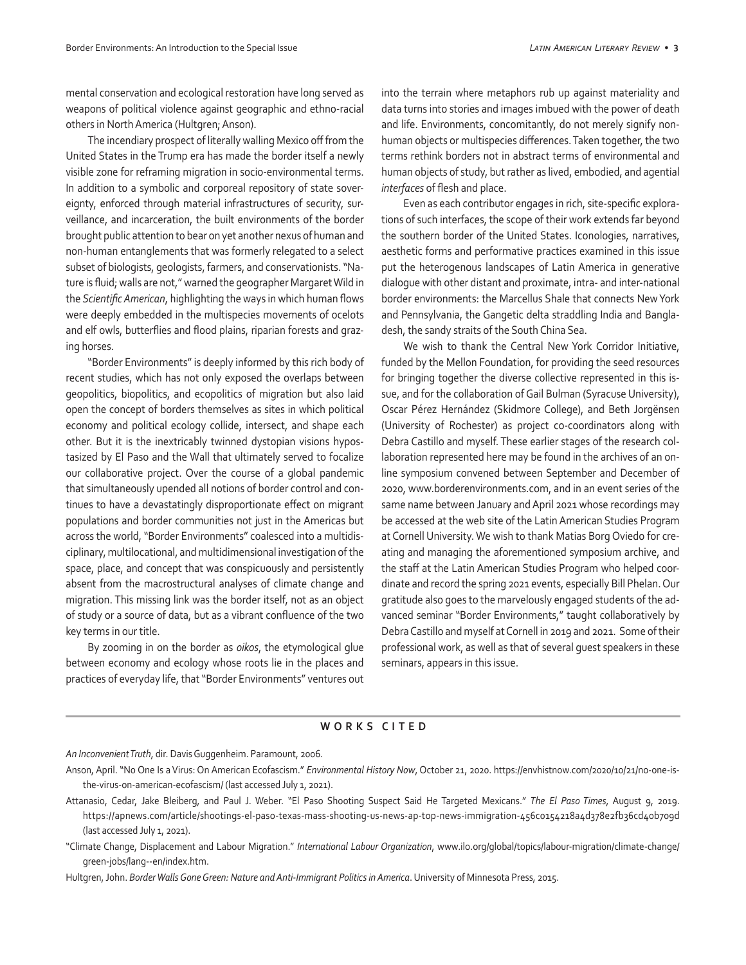mental conservation and ecological restoration have long served as weapons of political violence against geographic and ethno-racial others in North America (Hultgren; Anson).

The incendiary prospect of literally walling Mexico off from the United States in the Trump era has made the border itself a newly visible zone for reframing migration in socio-environmental terms. In addition to a symbolic and corporeal repository of state sovereignty, enforced through material infrastructures of security, surveillance, and incarceration, the built environments of the border brought public attention to bear on yet another nexus of human and non-human entanglements that was formerly relegated to a select subset of biologists, geologists, farmers, and conservationists. "Nature is fluid; walls are not," warned the geographer Margaret Wild in the *Scientific American*, highlighting the ways in which human flows were deeply embedded in the multispecies movements of ocelots and elf owls, butterflies and flood plains, riparian forests and grazing horses.

"Border Environments" is deeply informed by this rich body of recent studies, which has not only exposed the overlaps between geopolitics, biopolitics, and ecopolitics of migration but also laid open the concept of borders themselves as sites in which political economy and political ecology collide, intersect, and shape each other. But it is the inextricably twinned dystopian visions hypostasized by El Paso and the Wall that ultimately served to focalize our collaborative project. Over the course of a global pandemic that simultaneously upended all notions of border control and continues to have a devastatingly disproportionate effect on migrant populations and border communities not just in the Americas but across the world, "Border Environments" coalesced into a multidisciplinary, multilocational, and multidimensional investigation of the space, place, and concept that was conspicuously and persistently absent from the macrostructural analyses of climate change and migration. This missing link was the border itself, not as an object of study or a source of data, but as a vibrant confluence of the two key terms in our title.

By zooming in on the border as *oikos*, the etymological glue between economy and ecology whose roots lie in the places and practices of everyday life, that "Border Environments" ventures out

into the terrain where metaphors rub up against materiality and data turns into stories and images imbued with the power of death and life. Environments, concomitantly, do not merely signify nonhuman objects or multispecies differences. Taken together, the two terms rethink borders not in abstract terms of environmental and human objects of study, but rather as lived, embodied, and agential *interfaces* of flesh and place.

Even as each contributor engages in rich, site-specific explorations of such interfaces, the scope of their work extends far beyond the southern border of the United States. Iconologies, narratives, aesthetic forms and performative practices examined in this issue put the heterogenous landscapes of Latin America in generative dialogue with other distant and proximate, intra- and inter-national border environments: the Marcellus Shale that connects New York and Pennsylvania, the Gangetic delta straddling India and Bangladesh, the sandy straits of the South China Sea.

We wish to thank the Central New York Corridor Initiative, funded by the Mellon Foundation, for providing the seed resources for bringing together the diverse collective represented in this issue, and for the collaboration of Gail Bulman (Syracuse University), Oscar Pérez Hernández (Skidmore College), and Beth Jorgënsen (University of Rochester) as project co-coordinators along with Debra Castillo and myself. These earlier stages of the research collaboration represented here may be found in the archives of an online symposium convened between September and December of 2020, www.borderenvironments.com, and in an event series of the same name between January and April 2021 whose recordings may be accessed at the web site of the Latin American Studies Program at Cornell University. We wish to thank Matias Borg Oviedo for creating and managing the aforementioned symposium archive, and the staff at the Latin American Studies Program who helped coordinate and record the spring 2021 events, especially Bill Phelan. Our gratitude also goes to the marvelously engaged students of the advanced seminar "Border Environments," taught collaboratively by Debra Castillo and myself at Cornell in 2019 and 2021. Some of their professional work, as well as that of several guest speakers in these seminars, appears in this issue.

## **WORKS CITED**

*An Inconvenient Truth*, dir. Davis Guggenheim. Paramount, 2006.

Hultgren, John. *Border Walls Gone Green: Nature and Anti-Immigrant Politics in America*. University of Minnesota Press, 2015.

Anson, April. "No One Is a Virus: On American Ecofascism." *Environmental History Now*, October 21, 2020. https://envhistnow.com/2020/10/21/no-one-isthe-virus-on-american-ecofascism/ (last accessed July 1, 2021).

Attanasio, Cedar, Jake Bleiberg, and Paul J. Weber. "El Paso Shooting Suspect Said He Targeted Mexicans." *The El Paso Times*, August 9, 2019. https://apnews.com/article/shootings-el-paso-texas-mass-shooting-us-news-ap-top-news-immigration-456c0154218a4d378e2fb36cd40b709d (last accessed July 1, 2021).

<sup>&</sup>quot;Climate Change, Displacement and Labour Migration." *International Labour Organization*, www.ilo.org/global/topics/labour-migration/climate-change/ green-jobs/lang--en/index.htm.